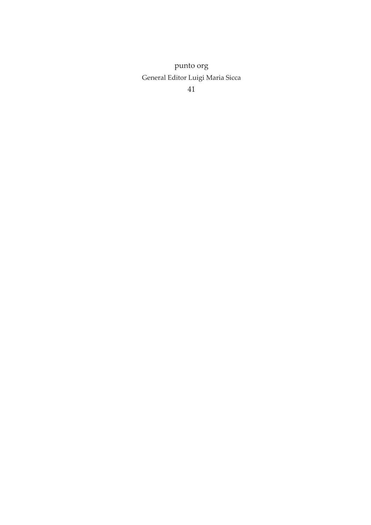punto org General Editor Luigi Maria Sicca

41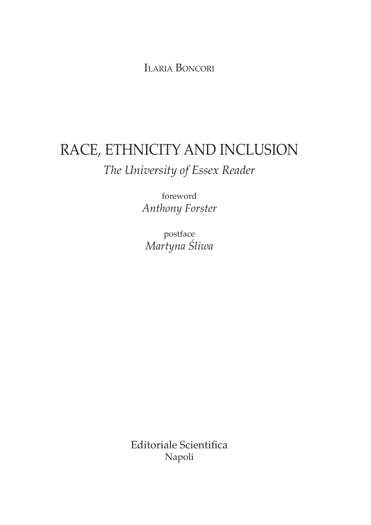IlarIa BoncorI

# RACE, ETHNICITY AND INCLUSION *The University of Essex Reader*

foreword *Anthony Forster*

postface *Martyna Śliwa*

Editoriale Scientifica Napoli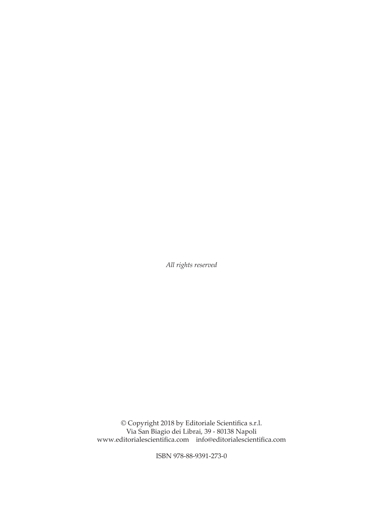*All rights reserved*

© Copyright 2018 by Editoriale Scientifca s.r.l. Via San Biagio dei Librai, 39 - 80138 Napoli www.editorialescientifca.com info@editorialescientifca.com

ISBN 978-88-9391-273-0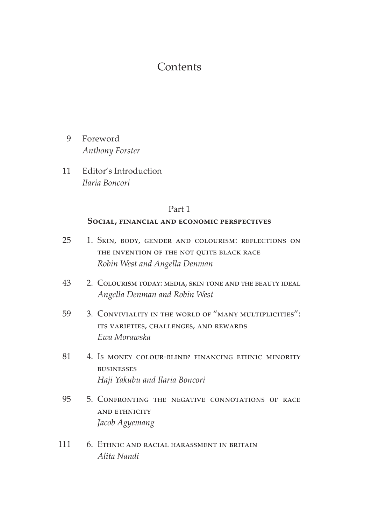# **Contents**

- 9 Foreword *Anthony Forster*
- 11 Editor's Introduction *Ilaria Boncori*

## Part 1

#### **Social, financial and economic perspectives**

- 25 1. Skin, body, gender and colourism: reflections on the invention of the not quite black race *Robin West and Angella Denman*
- 43 2. Colourism today: media, skin tone and the beauty ideal *Angella Denman and Robin West*
- 59 3. Conviviality in the world of "many multiplicities": its varieties, challenges, and rewards *Ewa Morawska*
- 81 4. Is money colour-blind? Financing ethnic minority businesses *Haji Yakubu and Ilaria Boncori*
- 95 5. Confronting the negative connotations of race and ethnicity *Jacob Agyemang*
- 111 6. Ethnic and racial harassment in britain *Alita Nandi*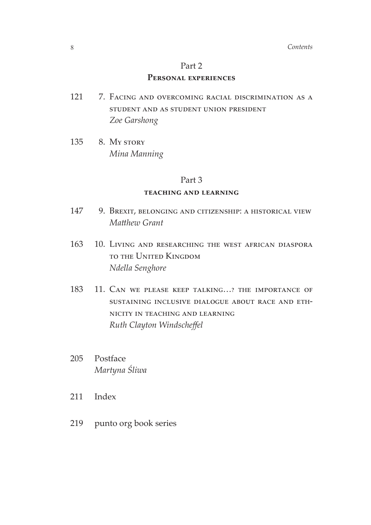#### Part 2

### **Personal experiences**

- 121 7. Facing and overcoming racial discrimination as a student and as student union president *Zoe Garshong*
- 135 8. My story *Mina Manning*

#### Part 3

#### **teaching and learning**

- 147 9. Brexit, belonging and citizenship: a historical view *Mathew Grant*
- 163 10. Living and researching the west african diaspora to the United Kingdom *Ndella Senghore*
- 183 11. Can we please keep talking…? the importance of sustaining inclusive dialogue about race and ethnicity in teaching and learning *Ruth Clayton Windschefel*
- 205 Postface *Martyna Śliwa*
- 211 Index
- 219 punto org book series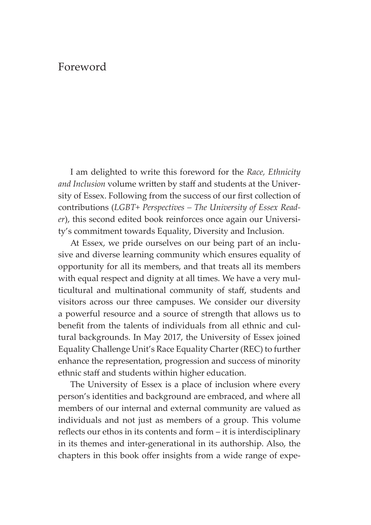## Foreword

I am delighted to write this foreword for the *Race, Ethnicity*  and *Inclusion* volume written by staff and students at the University of Essex. Following from the success of our frst collection of contributions (*LGBT+ Perspectives – The University of Essex Reader*), this second edited book reinforces once again our University's commitment towards Equality, Diversity and Inclusion.

At Essex, we pride ourselves on our being part of an inclusive and diverse learning community which ensures equality of opportunity for all its members, and that treats all its members with equal respect and dignity at all times. We have a very multicultural and multinational community of staf, students and visitors across our three campuses. We consider our diversity a powerful resource and a source of strength that allows us to benefit from the talents of individuals from all ethnic and cultural backgrounds. In May 2017, the University of Essex joined Equality Challenge Unit's Race Equality Charter (REC) to further enhance the representation, progression and success of minority ethnic staff and students within higher education.

The University of Essex is a place of inclusion where every person's identities and background are embraced, and where all members of our internal and external community are valued as individuals and not just as members of a group. This volume reflects our ethos in its contents and form – it is interdisciplinary in its themes and inter-generational in its authorship. Also, the chapters in this book offer insights from a wide range of expe